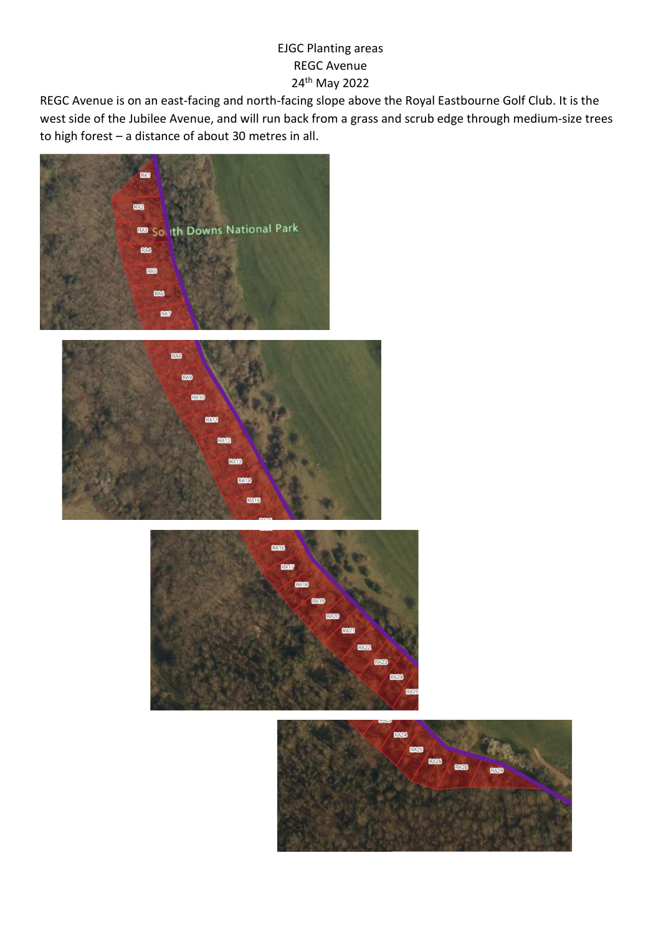## EJGC Planting areas REGC Avenue 24th May 2022

REGC Avenue is on an east-facing and north-facing slope above the Royal Eastbourne Golf Club. It is the west side of the Jubilee Avenue, and will run back from a grass and scrub edge through medium-size trees to high forest – a distance of about 30 metres in all.